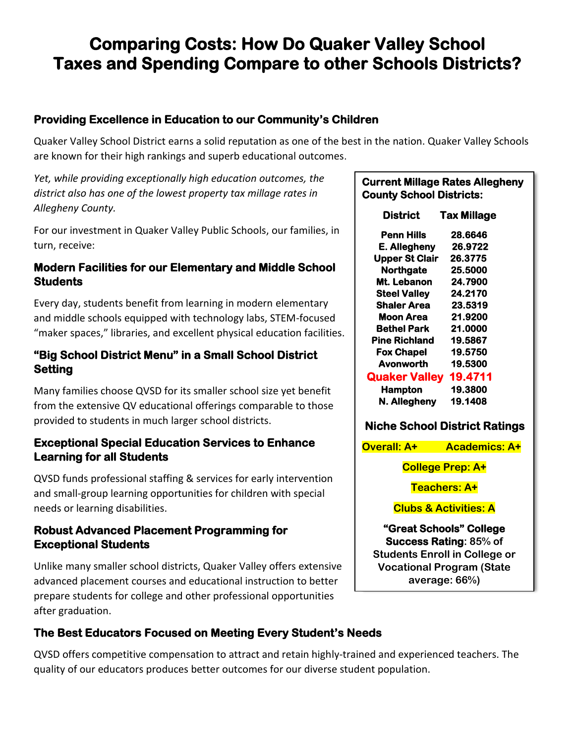# **Comparing Costs: How Do Quaker Valley School Taxes and Spending Compare to other Schools Districts?**

### **Providing Excellence in Education to our Community's Children**

Quaker Valley School District earns a solid reputation as one of the best in the nation. Quaker Valley Schools are known for their high rankings and superb educational outcomes.

*Yet, while providing exceptionally high education outcomes, the district also has one of the lowest property tax millage rates in Allegheny County.* 

For our investment in Quaker Valley Public Schools, our families, in turn, receive:

#### **Modern Facilities for our Elementary and Middle School Students**

Every day, students benefit from learning in modern elementary and middle schools equipped with technology labs, STEM-focused "maker spaces," libraries, and excellent physical education facilities.

#### **"Big School District Menu" in a Small School District Setting**

Many families choose QVSD for its smaller school size yet benefit from the extensive QV educational offerings comparable to those provided to students in much larger school districts.

#### **Exceptional Special Education Services to Enhance Learning for all Students**

QVSD funds professional staffing & services for early intervention and small-group learning opportunities for children with special needs or learning disabilities.

#### **Robust Advanced Placement Programming for Exceptional Students**

Unlike many smaller school districts, Quaker Valley offers extensive advanced placement courses and educational instruction to better prepare students for college and other professional opportunities after graduation.

### **The Best Educators Focused on Meeting Every Student's Needs**

QVSD offers competitive compensation to attract and retain highly-trained and experienced teachers. The quality of our educators produces better outcomes for our diverse student population.

#### **Current Millage Rates Allegheny County School Districts:**

| District                             | Tax Millage |
|--------------------------------------|-------------|
| <b>Penn Hills</b>                    | 28.6646     |
| E. Allegheny                         | 26.9722     |
| <b>Upper St Clair</b>                | 26.3775     |
| <b>Northgate</b>                     | 25.5000     |
| Mt. Lebanon                          | 24.7900     |
| <b>Steel Valley</b>                  | 24.2170     |
| <b>Shaler Area</b>                   | 23.5319     |
| Moon Area                            | 21.9200     |
| <b>Bethel Park</b>                   | 21.0000     |
| Pine Richland                        | 19.5867     |
| Fox Chapel                           | 19.5750     |
| Avonworth                            | 19.5300     |
| <b>Quaker Valley</b>                 | 19.4711     |
| <b>Hampton</b>                       | 19.3800     |
| N. Allegheny                         | 19.1408     |
| <b>Niche School District Ratings</b> |             |

**Overall: A+ Academics: A+**

**College Prep: A+**

**Teachers: A+**

**Clubs & Activities: A**

**"Great Schools" College Success Rating: 85% of Students Enroll in College or Vocational Program (State average: 66%)**